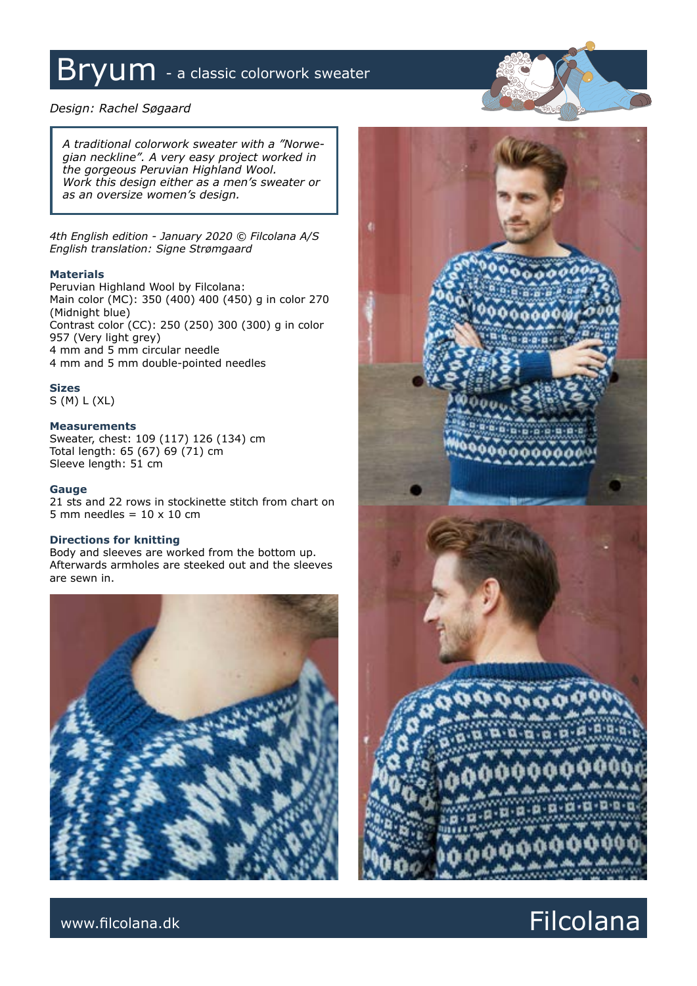# Bryum - a classic colorwork sweater

### *Design: Rachel Søgaard*

*A traditional colorwork sweater with a "Norwegian neckline". A very easy project worked in the gorgeous Peruvian Highland Wool. Work this design either as a men's sweater or as an oversize women's design.*

*4th English edition - January 2020 © Filcolana A/S English translation: Signe Strømgaard*

### **Materials**

Peruvian Highland Wool by Filcolana: Main color (MC): 350 (400) 400 (450) g in color 270 (Midnight blue) Contrast color (CC): 250 (250) 300 (300) g in color 957 (Very light grey) 4 mm and 5 mm circular needle 4 mm and 5 mm double-pointed needles

### **Sizes**

S (M) L (XL)

### **Measurements**

Sweater, chest: 109 (117) 126 (134) cm Total length: 65 (67) 69 (71) cm Sleeve length: 51 cm

### **Gauge**

21 sts and 22 rows in stockinette stitch from chart on 5 mm needles =  $10 \times 10$  cm

### **Directions for knitting**

Body and sleeves are worked from the bottom up. Afterwards armholes are steeked out and the sleeves are sewn in.





## www.filcolana.dk **Filcolana.dk** Reserves and the set of the set of the set of the set of the set of the set of the set of the set of the set of the set of the set of the set of the set of the set of the set of the set of t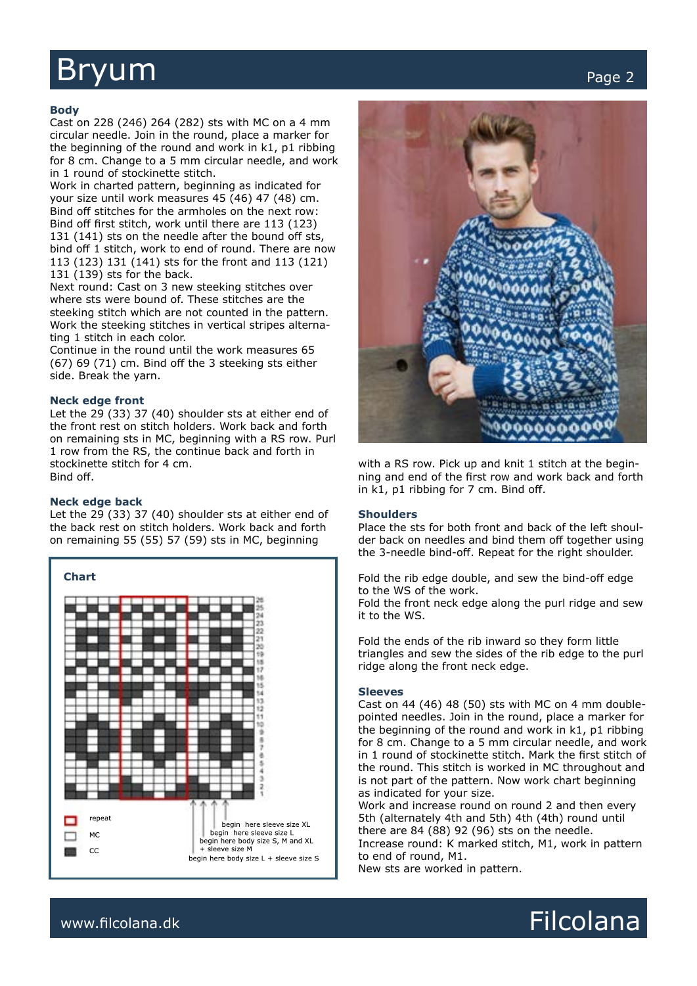# Bryum and the contract of the contract of the contract of the contract of the contract of the contract of the contract of the contract of the contract of the contract of the contract of the contract of the contract of the

### **Body**

Cast on 228 (246) 264 (282) sts with MC on a 4 mm circular needle. Join in the round, place a marker for the beginning of the round and work in k1, p1 ribbing for 8 cm. Change to a 5 mm circular needle, and work in 1 round of stockinette stitch.

Work in charted pattern, beginning as indicated for your size until work measures 45 (46) 47 (48) cm. Bind off stitches for the armholes on the next row: Bind off first stitch, work until there are 113 (123) 131 (141) sts on the needle after the bound off sts, bind off 1 stitch, work to end of round. There are now 113 (123) 131 (141) sts for the front and 113 (121) 131 (139) sts for the back.

Next round: Cast on 3 new steeking stitches over where sts were bound of. These stitches are the steeking stitch which are not counted in the pattern. Work the steeking stitches in vertical stripes alternating 1 stitch in each color.

Continue in the round until the work measures 65 (67) 69 (71) cm. Bind off the 3 steeking sts either side. Break the yarn.

### **Neck edge front**

Let the 29 (33) 37 (40) shoulder sts at either end of the front rest on stitch holders. Work back and forth on remaining sts in MC, beginning with a RS row. Purl 1 row from the RS, the continue back and forth in stockinette stitch for 4 cm. Bind off.

### **Neck edge back**

Let the 29 (33) 37 (40) shoulder sts at either end of the back rest on stitch holders. Work back and forth on remaining 55 (55) 57 (59) sts in MC, beginning





with a RS row. Pick up and knit 1 stitch at the beginning and end of the first row and work back and forth in k1, p1 ribbing for 7 cm. Bind off.

#### **Shoulders**

Place the sts for both front and back of the left shoulder back on needles and bind them off together using the 3-needle bind-off. Repeat for the right shoulder.

Fold the rib edge double, and sew the bind-off edge to the WS of the work.

Fold the front neck edge along the purl ridge and sew it to the WS.

Fold the ends of the rib inward so they form little triangles and sew the sides of the rib edge to the purl ridge along the front neck edge.

### **Sleeves**

Cast on 44 (46) 48 (50) sts with MC on 4 mm doublepointed needles. Join in the round, place a marker for the beginning of the round and work in k1, p1 ribbing for 8 cm. Change to a 5 mm circular needle, and work in 1 round of stockinette stitch. Mark the first stitch of the round. This stitch is worked in MC throughout and is not part of the pattern. Now work chart beginning as indicated for your size.

Work and increase round on round 2 and then every 5th (alternately 4th and 5th) 4th (4th) round until there are 84 (88) 92 (96) sts on the needle. Increase round: K marked stitch, M1, work in pattern to end of round, M1.

New sts are worked in pattern.



## www.filcolana.dk **Filcolana.dk** Reserves and the set of the set of the set of the set of the set of the set of the set of the set of the set of the set of the set of the set of the set of the set of the set of the set of t